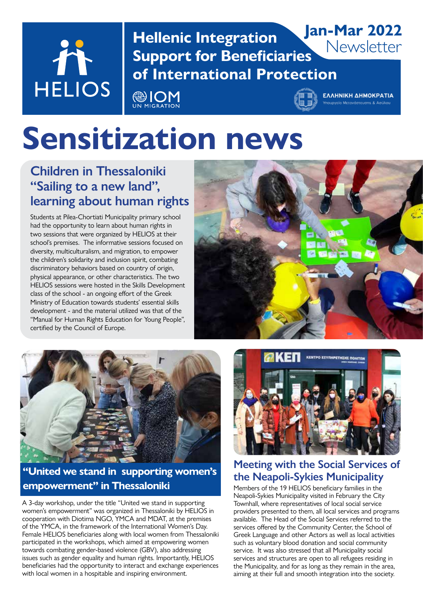

**Hellenic Integration Support for Beneficiaries of International Protection Jan-Mar 2022**

@IOM



**Newsletter** 

# **Sensitization news**

#### **Children in Thessaloniki "Sailing to a new land", learning about human rights**

Students at Pilea-Chortiati Municipality primary school had the opportunity to learn about human rights in two sessions that were organized by HELIOS at their school's premises. The informative sessions focused on diversity, multiculturalism, and migration, to empower the children's solidarity and inclusion spirit, combating discriminatory behaviors based on country of origin, physical appearance, or other characteristics. The two HELIOS sessions were hosted in the Skills Development class of the school - an ongoing effort of the Greek Ministry of Education towards students' essential skills development - and the material utilized was that of the "Manual for Human Rights Education for Young People", certified by the Council of Europe.





#### **"United we stand in supporting women's empowerment" in Thessaloniki**

A 3-day workshop, under the title "United we stand in supporting women's empowerment" was organized in Thessaloniki by HELIOS in cooperation with Diotima NGO, YMCA and MDAT, at the premises of the YMCA, in the framework of the International Women's Day. Female HELIOS beneficiaries along with local women from Thessaloniki participated in the workshops, which aimed at empowering women towards combating gender-based violence (GBV), also addressing issues such as gender equality and human rights. Importantly, HELIOS beneficiaries had the opportunity to interact and exchange experiences with local women in a hospitable and inspiring environment.



#### **Meeting with the Social Services of the Neapoli-Sykies Municipality**

Members of the 19 HELIOS beneficiary families in the Neapoli-Sykies Municipality visited in February the City Townhall, where representatives of local social service providers presented to them, all local services and programs available. The Head of the Social Services referred to the services offered by the Community Center, the School of Greek Language and other Actors as well as local activities such as voluntary blood donation and social community service. It was also stressed that all Municipality social services and structures are open to all refugees residing in the Municipality, and for as long as they remain in the area, aiming at their full and smooth integration into the society.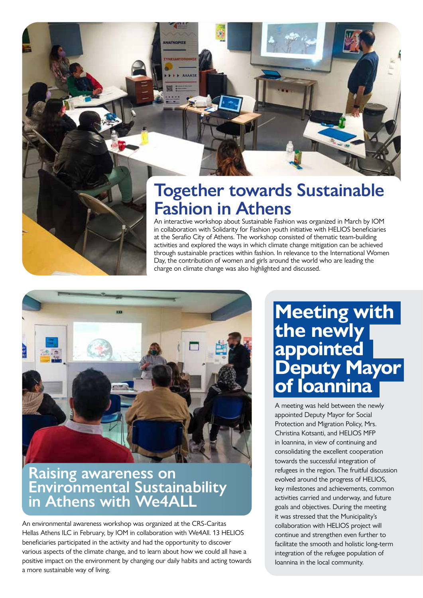

### **Together towards Sustainable Fashion in Athens**

An interactive workshop about Sustainable Fashion was organized in March by IOM in collaboration with Solidarity for Fashion youth initiative with HELIOS beneficiaries at the Serafio City of Athens. The workshop consisted of thematic team-building activities and explored the ways in which climate change mitigation can be achieved through sustainable practices within fashion. In relevance to the International Women Day, the contribution of women and girls around the world who are leading the charge on climate change was also highlighted and discussed.



**ATNOPITE** 

### **Raising awareness on Environmental Sustainability in Athens with We4ALL**

An environmental awareness workshop was organized at the CRS-Caritas Hellas Athens ILC in February, by IOM in collaboration with We4All. 13 HELIOS beneficiaries participated in the activity and had the opportunity to discover various aspects of the climate change, and to learn about how we could all have a positive impact on the environment by changing our daily habits and acting towards a more sustainable way of living.

### **Meeting with the newly appointed Deputy Mayor of Ioannina**

A meeting was held between the newly appointed Deputy Mayor for Social Protection and Migration Policy, Mrs. Christina Kotsanti, and HELIOS MFP in Ioannina, in view of continuing and consolidating the excellent cooperation towards the successful integration of refugees in the region. The fruitful discussion evolved around the progress of HELIOS, key milestones and achievements, common activities carried and underway, and future goals and objectives. During the meeting it was stressed that the Municipality's collaboration with HELIOS project will continue and strengthen even further to facilitate the smooth and holistic long-term integration of the refugee population of Ioannina in the local community.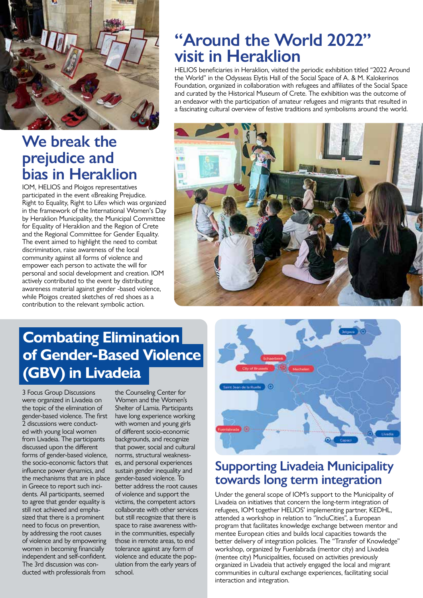

### We break the **prejudice and bias in Heraklion**

IOM, HELIOS and Ploigos representatives participated in the event «Breaking Prejudice. Right to Equality, Right to Life» which was organized in the framework of the International Women's Day by Heraklion Municipality, the Municipal Committee for Equality of Heraklion and the Region of Crete and the Regional Committee for Gender Equality. The event aimed to highlight the need to combat discrimination, raise awareness of the local community against all forms of violence and empower each person to activate the will for personal and social development and creation. IOM actively contributed to the event by distributing awareness material against gender -based violence, while Ploigos created sketches of red shoes as a contribution to the relevant symbolic action.

### **"Around the World 2022" visit in Heraklion**

HELIOS beneficiaries in Heraklion, visited the periodic exhibition titled "2022 Around the World" in the Odysseas Elytis Hall of the Social Space of A. & M. Kalokerinos Foundation, organized in collaboration with refugees and affiliates of the Social Space and curated by the Historical Museum of Crete. The exhibition was the outcome of an endeavor with the participation of amateur refugees and migrants that resulted in a fascinating cultural overview of festive traditions and symbolisms around the world.



### **Combating Elimination of Gender-Based Violence (GBV) in Livadeia**

3 Focus Group Discussions were organized in Livadeia on the topic of the elimination of gender-based violence. The first 2 discussions were conducted with young local women from Livadeia. The participants discussed upon the different forms of gender-based violence, the socio-economic factors that influence power dynamics, and the mechanisms that are in place in Greece to report such incidents. All participants, seemed to agree that gender equality is still not achieved and emphasized that there is a prominent need to focus on prevention, by addressing the root causes of violence and by empowering women in becoming financially independent and self-confident. The 3rd discussion was conducted with professionals from

the Counseling Center for Women and the Women's Shelter of Lamia. Participants have long experience working with women and young girls of different socio-economic backgrounds, and recognize that power, social and cultural norms, structural weaknesses, and personal experiences sustain gender inequality and gender-based violence. To better address the root causes of violence and support the victims, the competent actors collaborate with other services but still recognize that there is space to raise awareness within the communities, especially those in remote areas, to end tolerance against any form of violence and educate the population from the early years of school.



### **Supporting Livadeia Μunicipality towards long term integration**

Under the general scope of IOM's support to the Municipality of Livadeia on initiatives that concern the long-term integration of refugees, IOM together HELIOS' implementing partner, KEDHL, attended a workshop in relation to ''IncluCities'', a European program that facilitates knowledge exchange between mentor and mentee European cities and builds local capacities towards the better delivery of integration policies. The "Transfer of Knowledge" workshop, organized by Fuenlabrada (mentor city) and Livadeia (mentee city) Municipalities, focused on activities previously organized in Livadeia that actively engaged the local and migrant communities in cultural exchange experiences, facilitating social interaction and integration.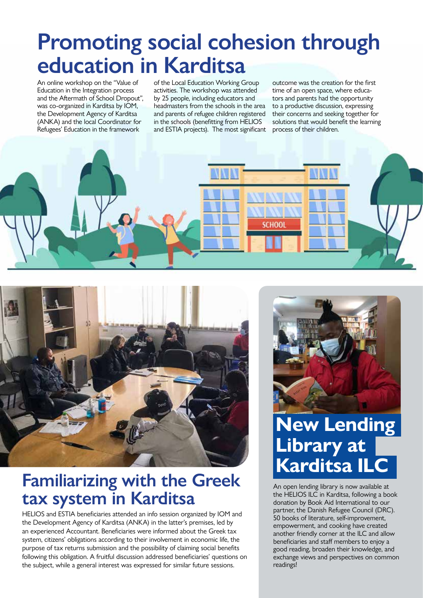## **Promoting social cohesion through education in Karditsa**

An online workshop on the "Value of Education in the Integration process and the Aftermath of School Dropout", was co-organized in Karditsa by IOM, the Development Agency of Karditsa (ANKA) and the local Coordinator for Refugees' Education in the framework

of the Local Education Working Group activities. The workshop was attended by 25 people, including educators and headmasters from the schools in the area and parents of refugee children registered in the schools (benefitting from HELIOS and ESTIA projects). The most significant

outcome was the creation for the first time of an open space, where educators and parents had the opportunity to a productive discussion, expressing their concerns and seeking together for solutions that would benefit the learning process of their children.





### **Familiarizing with the Greek tax system in Karditsa**

HELIOS and ESTIA beneficiaries attended an info session organized by IOM and the Development Agency of Karditsa (ANKA) in the latter's premises, led by an experienced Accountant. Beneficiaries were informed about the Greek tax system, citizens' obligations according to their involvement in economic life, the purpose of tax returns submission and the possibility of claiming social benefits following this obligation. A fruitful discussion addressed beneficiaries' questions on the subject, while a general interest was expressed for similar future sessions.



### **New Lending Library at Karditsa ILC**

An open lending library is now available at the HELIOS ILC in Karditsa, following a book donation by Book Aid International to our partner, the Danish Refugee Council (DRC). 50 books of literature, self-improvement, empowerment, and cooking have created another friendly corner at the ILC and allow beneficiaries and staff members to enjoy a good reading, broaden their knowledge, and exchange views and perspectives on common readings!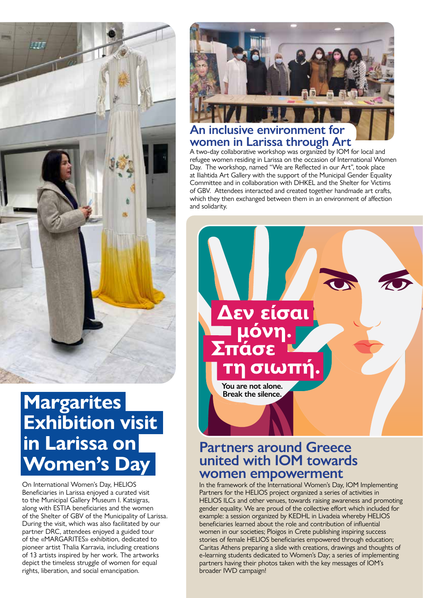

### **Margarites Exhibition visit in Larissa on Women's Day**

On International Women's Day, HELIOS Beneficiaries in Larissa enjoyed a curated visit to the Municipal Gallery Museum I. Katsigras, along with ESTIA beneficiaries and the women of the Shelter of GBV of the Municipality of Larissa. During the visit, which was also facilitated by our partner DRC, attendees enjoyed a guided tour of the «MARGARITES» exhibition, dedicated to pioneer artist Thalia Karravia, including creations of 13 artists inspired by her work. The artworks depict the timeless struggle of women for equal rights, liberation, and social emancipation.



#### **An inclusive environment for women in Larissa through Art**

A two-day collaborative workshop was organized by IOM for local and refugee women residing in Larissa on the occasion of International Women Day. The workshop, named "We are Reflected in our Art", took place at Iliahtida Art Gallery with the support of the Municipal Gender Equality Committee and in collaboration with DHKEL and the Shelter for Victims of GBV. Attendees interacted and created together handmade art crafts, which they then exchanged between them in an environment of affection and solidarity.



#### **Partners around Greece united with IOM towards women empowerment**

In the framework of the International Women's Day, IOM Implementing Partners for the HELIOS project organized a series of activities in HELIOS ILCs and other venues, towards raising awareness and promoting gender equality. We are proud of the collective effort which included for example: a session organized by KEDHL in Livadeia whereby HELIOS beneficiaries learned about the role and contribution of influential women in our societies; Ploigos in Crete publishing inspiring success stories of female HELIOS beneficiaries empowered through education; Caritas Athens preparing a slide with creations, drawings and thoughts of e-learning students dedicated to Women's Day; a series of implementing partners having their photos taken with the key messages of IOM's broader IWD campaign!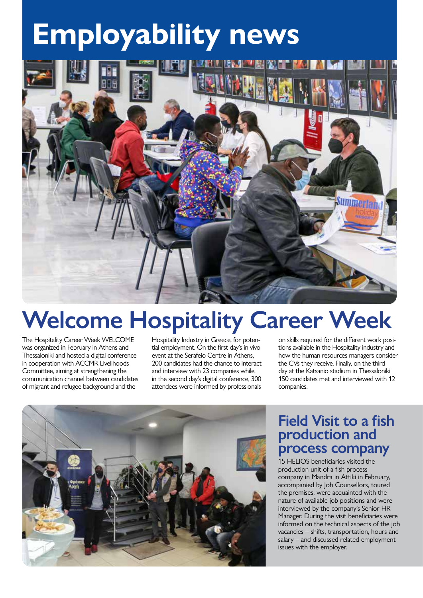# **Employability news**



## **Welcome Hospitality Career Week**

The Hospitality Career Week WELCOME was organized in February in Athens and Thessaloniki and hosted a digital conference in cooperation with ACCMR Livelihoods Committee, aiming at strengthening the communication channel between candidates of migrant and refugee background and the

Hospitality Industry in Greece, for potential employment. On the first day's in vivo event at the Serafeio Centre in Athens, 200 candidates had the chance to interact and interview with 23 companies while, in the second day's digital conference, 300 attendees were informed by professionals

on skills required for the different work positions available in the Hospitality industry and how the human resources managers consider the CVs they receive. Finally, on the third day at the Katsanio stadium in Thessaloniki 150 candidates met and interviewed with 12 companies.



#### **Field Visit to a fish production and process company**

15 HELIOS beneficiaries visited the production unit of a fish process company in Mandra in Attiki in February, accompanied by Job Counsellors, toured the premises, were acquainted with the nature of available job positions and were interviewed by the company's Senior HR Manager. During the visit beneficiaries were informed on the technical aspects of the job vacancies – shifts, transportation, hours and salary – and discussed related employment issues with the employer.